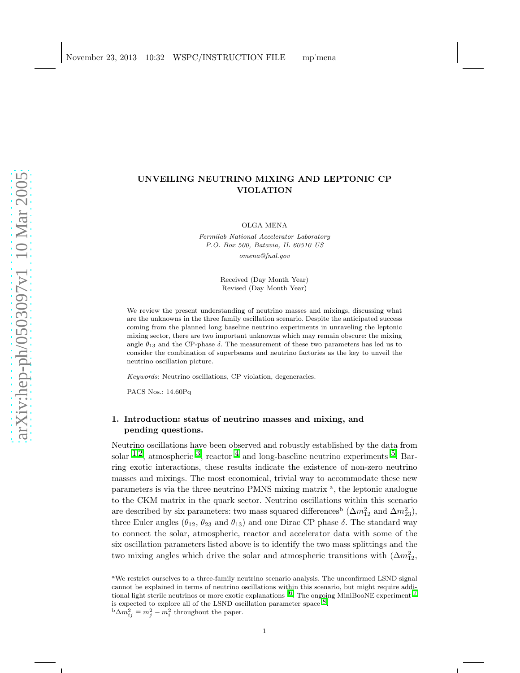# UNVEILING NEUTRINO MIXING AND LEPTONIC CP VIOLATION

OLGA MENA

Fermilab National Accelerator Laboratory P.O. Box 500, Batavia, IL 60510 US omena@fnal.gov

> Received (Day Month Year) Revised (Day Month Year)

We review the present understanding of neutrino masses and mixings, discussing what are the unknowns in the three family oscillation scenario. Despite the anticipated success coming from the planned long baseline neutrino experiments in unraveling the leptonic mixing sector, there are two important unknowns which may remain obscure: the mixing angle  $\theta_{13}$  and the CP-phase  $\delta$ . The measurement of these two parameters has led us to consider the combination of superbeams and neutrino factories as the key to unveil the neutrino oscillation picture.

Keywords: Neutrino oscillations, CP violation, degeneracies.

PACS Nos.: 14.60Pq

# 1. Introduction: status of neutrino masses and mixing, and pending questions.

Neutrino oscillations have been observed and robustly established by the data from solar <sup>[1](#page-15-0),2</sup>, atmospheric <sup>3</sup>, reactor <sup>[4](#page-15-3)</sup> and long-baseline neutrino experiments <sup>5</sup>. Barring exotic interactions, these results indicate the existence of non-zero neutrino masses and mixings. The most economical, trivial way to accommodate these new parameters is via the three neutrino PMNS mixing matrix<sup>a</sup>, the leptonic analogue to the CKM matrix in the quark sector. Neutrino oscillations within this scenario are described by six parameters: two mass squared differences<sup>b</sup> ( $\Delta m_{12}^2$  and  $\Delta m_{23}^2$ ), three Euler angles ( $\theta_{12}$ ,  $\theta_{23}$  and  $\theta_{13}$ ) and one Dirac CP phase  $\delta$ . The standard way to connect the solar, atmospheric, reactor and accelerator data with some of the six oscillation parameters listed above is to identify the two mass splittings and the two mixing angles which drive the solar and atmospheric transitions with  $(\Delta m_{12}^2,$ 

<sup>a</sup>We restrict ourselves to a three-family neutrino scenario analysis. The unconfirmed LSND signal cannot be explained in terms of neutrino oscillations within this scenario, but might require additional light sterile neutrinos or more exotic explanations  $6$ . The ongoing MiniBooNE experiment  $7$ is expected to explore all of the LSND oscillation parameter space  $8$ .  ${}^{\text{b}}\Delta m_{ij}^2 \equiv m_j^2 - m_i^2$  throughout the paper.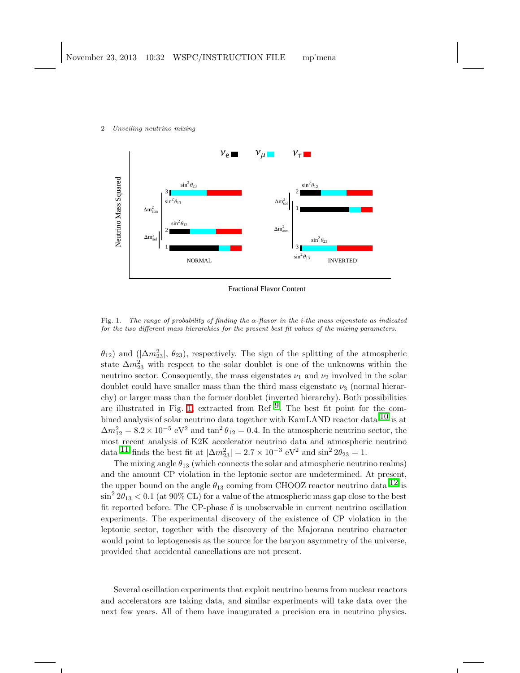

Fractional Flavor Content

<span id="page-1-0"></span>Fig. 1. The range of probability of finding the  $\alpha$ -flavor in the *i*-the mass eigenstate as indicated for the two different mass hierarchies for the present best fit values of the mixing parameters.

 $\theta_{12}$ ) and  $(|\Delta m_{23}^2|, \theta_{23})$ , respectively. The sign of the splitting of the atmospheric state  $\Delta m_{23}^2$  with respect to the solar doublet is one of the unknowns within the neutrino sector. Consequently, the mass eigenstates  $\nu_1$  and  $\nu_2$  involved in the solar doublet could have smaller mass than the third mass eigenstate  $\nu_3$  (normal hierarchy) or larger mass than the former doublet (inverted hierarchy). Both possibilities are illustrated in Fig. [1,](#page-1-0) extracted from Ref  $9$ . The best fit point for the combined analysis of solar neutrino data together with KamLAND reactor data  $^{10}$  $^{10}$  $^{10}$  is at  $\Delta m_{12}^2 = 8.2 \times 10^{-5} \text{ eV}^2$  and  $\tan^2 \theta_{12} = 0.4$ . In the atmospheric neutrino sector, the most recent analysis of K2K accelerator neutrino data and atmospheric neutrino data <sup>[11](#page-15-10)</sup> finds the best fit at  $|\Delta m_{23}^2| = 2.7 \times 10^{-3} \text{ eV}^2$  and  $\sin^2 2\theta_{23} = 1$ .

The mixing angle  $\theta_{13}$  (which connects the solar and atmospheric neutrino realms) and the amount CP violation in the leptonic sector are undetermined. At present, the upper bound on the angle  $\theta_{13}$  coming from CHOOZ reactor neutrino data  $^{12}$  $^{12}$  $^{12}$  is  $\sin^2 2\theta_{13} < 0.1$  (at 90% CL) for a value of the atmospheric mass gap close to the best fit reported before. The CP-phase  $\delta$  is unobservable in current neutrino oscillation experiments. The experimental discovery of the existence of CP violation in the leptonic sector, together with the discovery of the Majorana neutrino character would point to leptogenesis as the source for the baryon asymmetry of the universe, provided that accidental cancellations are not present.

Several oscillation experiments that exploit neutrino beams from nuclear reactors and accelerators are taking data, and similar experiments will take data over the next few years. All of them have inaugurated a precision era in neutrino physics.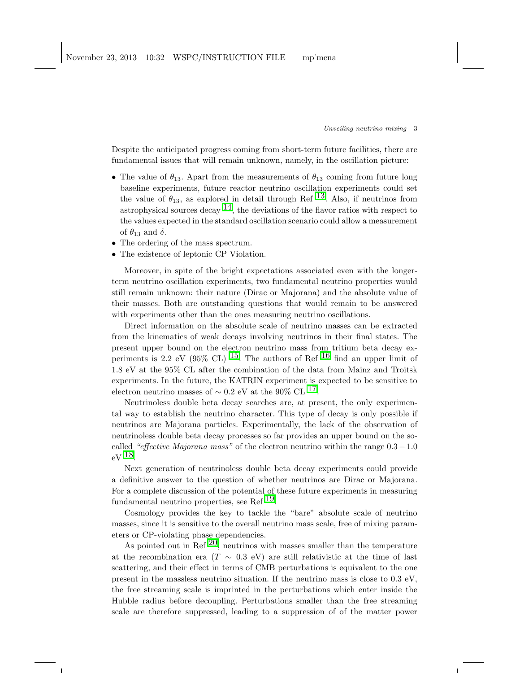Despite the anticipated progress coming from short-term future facilities, there are fundamental issues that will remain unknown, namely, in the oscillation picture:

- The value of  $\theta_{13}$ . Apart from the measurements of  $\theta_{13}$  coming from future long baseline experiments, future reactor neutrino oscillation experiments could set the value of  $\theta_{13}$  $\theta_{13}$  $\theta_{13}$ , as explored in detail through Ref <sup>13</sup>. Also, if neutrinos from astrophysical sources decay  $^{14}$ , the deviations of the flavor ratios with respect to the values expected in the standard oscillation scenario could allow a measurement of  $\theta_{13}$  and  $\delta$ .
- The ordering of the mass spectrum.
- The existence of leptonic CP Violation.

Moreover, in spite of the bright expectations associated even with the longerterm neutrino oscillation experiments, two fundamental neutrino properties would still remain unknown: their nature (Dirac or Majorana) and the absolute value of their masses. Both are outstanding questions that would remain to be answered with experiments other than the ones measuring neutrino oscillations.

Direct information on the absolute scale of neutrino masses can be extracted from the kinematics of weak decays involving neutrinos in their final states. The present upper bound on the electron neutrino mass from tritium beta decay ex-periments is 2.2 eV (95% CL) <sup>15</sup>. The authors of Ref <sup>[16](#page-15-15)</sup> find an upper limit of 1.8 eV at the 95% CL after the combination of the data from Mainz and Troitsk experiments. In the future, the KATRIN experiment is expected to be sensitive to electron neutrino masses of  $\sim 0.2$  eV at the 90% CL <sup>17</sup>.

Neutrinoless double beta decay searches are, at present, the only experimental way to establish the neutrino character. This type of decay is only possible if neutrinos are Majorana particles. Experimentally, the lack of the observation of neutrinoless double beta decay processes so far provides an upper bound on the socalled "effective Majorana mass" of the electron neutrino within the range  $0.3-1.0$  $eV^{18}$ .

Next generation of neutrinoless double beta decay experiments could provide a definitive answer to the question of whether neutrinos are Dirac or Majorana. For a complete discussion of the potential of these future experiments in measuring fundamental neutrino properties, see Ref [19.](#page-16-1)

Cosmology provides the key to tackle the "bare" absolute scale of neutrino masses, since it is sensitive to the overall neutrino mass scale, free of mixing parameters or CP-violating phase dependencies.

As pointed out in Ref  $^{20}$ , neutrinos with masses smaller than the temperature at the recombination era (T  $\sim$  0.3 eV) are still relativistic at the time of last scattering, and their effect in terms of CMB perturbations is equivalent to the one present in the massless neutrino situation. If the neutrino mass is close to 0.3 eV, the free streaming scale is imprinted in the perturbations which enter inside the Hubble radius before decoupling. Perturbations smaller than the free streaming scale are therefore suppressed, leading to a suppression of of the matter power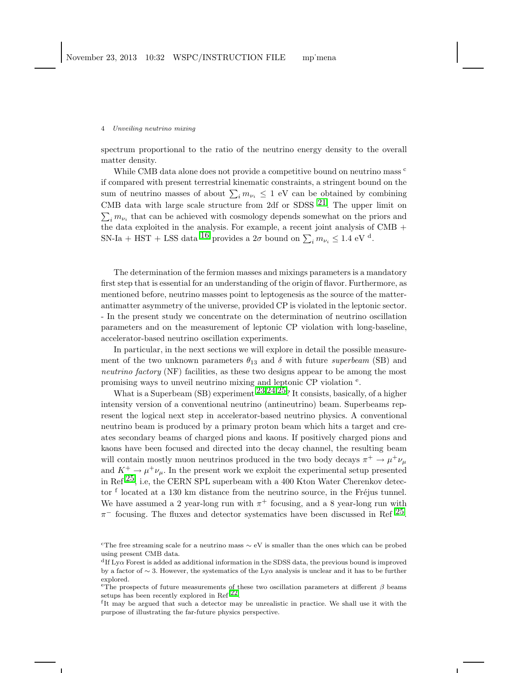spectrum proportional to the ratio of the neutrino energy density to the overall matter density.

While CMB data alone does not provide a competitive bound on neutrino mass  $\epsilon$ if compared with present terrestrial kinematic constraints, a stringent bound on the sum of neutrino masses of about  $\sum_i m_{\nu_i} \leq 1$  eV can be obtained by combining CMB data with large scale structure from 2df or SDSS  $21$ . The upper limit on  $\sum_i m_{\nu_i}$  that can be achieved with cosmology depends somewhat on the priors and the data exploited in the analysis. For example, a recent joint analysis of CMB  $\mathrm{+}$ SN-Ia + HST + LSS data  $^{16}$  $^{16}$  $^{16}$  provides a  $2\sigma$  bound on  $\sum_i m_{\nu_i} \leq 1.4$  eV <sup>d</sup>.

The determination of the fermion masses and mixings parameters is a mandatory first step that is essential for an understanding of the origin of flavor. Furthermore, as mentioned before, neutrino masses point to leptogenesis as the source of the matterantimatter asymmetry of the universe, provided CP is violated in the leptonic sector. - In the present study we concentrate on the determination of neutrino oscillation parameters and on the measurement of leptonic CP violation with long-baseline, accelerator-based neutrino oscillation experiments.

In particular, in the next sections we will explore in detail the possible measurement of the two unknown parameters  $\theta_{13}$  and  $\delta$  with future superbeam (SB) and neutrino factory (NF) facilities, as these two designs appear to be among the most promising ways to unveil neutrino mixing and leptonic CP violation  $e$ .

What is a Superbeam (SB) experiment  $23,24,25$  $23,24,25$  $23,24,25$  $23,24,25$ ? It consists, basically, of a higher intensity version of a conventional neutrino (antineutrino) beam. Superbeams represent the logical next step in accelerator-based neutrino physics. A conventional neutrino beam is produced by a primary proton beam which hits a target and creates secondary beams of charged pions and kaons. If positively charged pions and kaons have been focused and directed into the decay channel, the resulting beam will contain mostly muon neutrinos produced in the two body decays  $\pi^+ \to \mu^+ \nu_\mu$ and  $K^+$   $\rightarrow \mu^+ \nu_\mu$ . In the present work we exploit the experimental setup presented in Ref  $^{25}$ , i.e, the CERN SPL superbeam with a 400 Kton Water Cherenkov detector f located at a 130 km distance from the neutrino source, in the Fréjus tunnel. We have assumed a 2 year-long run with  $\pi^+$  focusing, and a 8 year-long run with  $\pi^-$  focusing. The fluxes and detector systematics have been discussed in Ref  $^{25}$ .

<sup>&</sup>lt;sup>c</sup>The free streaming scale for a neutrino mass  $\sim$  eV is smaller than the ones which can be probed using present CMB data.

 $\rm{d}I$  Ly $\alpha$  Forest is added as additional information in the SDSS data, the previous bound is improved by a factor of ∼ 3. However, the systematics of the Lyα analysis is unclear and it has to be further explored.

<sup>&</sup>lt;sup>e</sup>The prospects of future measurements of these two oscillation parameters at different  $\beta$  beams setups has been recently explored in Ref  $^{22}$ .

f It may be argued that such a detector may be unrealistic in practice. We shall use it with the purpose of illustrating the far-future physics perspective.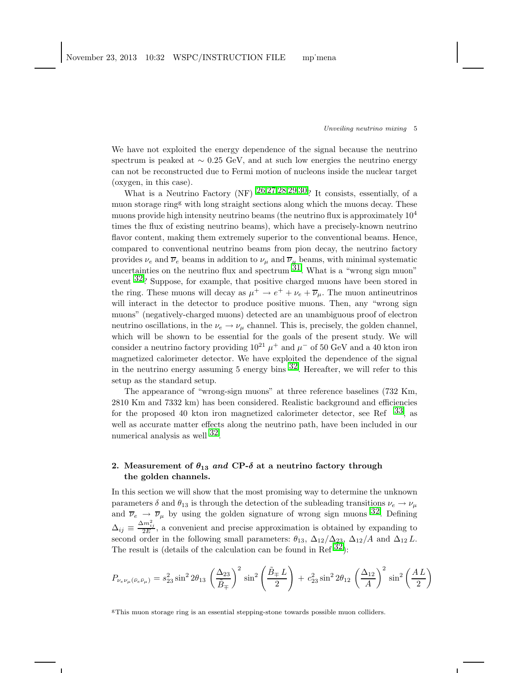We have not exploited the energy dependence of the signal because the neutrino spectrum is peaked at  $\sim 0.25$  GeV, and at such low energies the neutrino energy can not be reconstructed due to Fermi motion of nucleons inside the nuclear target (oxygen, in this case).

What is a Neutrino Factory (NF)  $26,27,28,29,30$  $26,27,28,29,30$  $26,27,28,29,30$  $26,27,28,29,30$  $26,27,28,29,30$  $26,27,28,29,30$  $26,27,28,29,30$  $26,27,28,29,30$ ? It consists, essentially, of a muon storage ring<sup>g</sup> with long straight sections along which the muons decay. These muons provide high intensity neutrino beams (the neutrino flux is approximately  $10<sup>4</sup>$ times the flux of existing neutrino beams), which have a precisely-known neutrino flavor content, making them extremely superior to the conventional beams. Hence, compared to conventional neutrino beams from pion decay, the neutrino factory provides  $\nu_e$  and  $\overline{\nu}_e$  beams in addition to  $\nu_\mu$  and  $\overline{\nu}_\mu$  beams, with minimal systematic uncertainties on the neutrino flux and spectrum  $31$ . What is a "wrong sign muon" event [32?](#page-16-14) Suppose, for example, that positive charged muons have been stored in the ring. These muons will decay as  $\mu^+ \to e^+ + \nu_e + \overline{\nu}_\mu$ . The muon antineutrinos will interact in the detector to produce positive muons. Then, any "wrong sign muons" (negatively-charged muons) detected are an unambiguous proof of electron neutrino oscillations, in the  $\nu_e \rightarrow \nu_\mu$  channel. This is, precisely, the golden channel, which will be shown to be essential for the goals of the present study. We will consider a neutrino factory providing  $10^{21} \mu^+$  and  $\mu^-$  of 50 GeV and a 40 kton iron magnetized calorimeter detector. We have exploited the dependence of the signal in the neutrino energy assuming 5 energy bins  $32$ . Hereafter, we will refer to this setup as the standard setup.

The appearance of "wrong-sign muons" at three reference baselines (732 Km, 2810 Km and 7332 km) has been considered. Realistic background and efficiencies for the proposed 40 kton iron magnetized calorimeter detector, see Ref  $^{33}$ , as well as accurate matter effects along the neutrino path, have been included in our numerical analysis as well [32.](#page-16-14)

# 2. Measurement of  $\theta_{13}$  and CP- $\delta$  at a neutrino factory through the golden channels.

In this section we will show that the most promising way to determine the unknown parameters  $\delta$  and  $\theta_{13}$  is through the detection of the subleading transitions  $\nu_e \rightarrow \nu_\mu$ and  $\overline{\nu}_e \rightarrow \overline{\nu}_\mu$  by using the golden signature of wrong sign muons  $32$ . Defining  $\Delta_{ij} \equiv \frac{\Delta m_{ij}^2}{2E}$ , a convenient and precise approximation is obtained by expanding to second order in the following small parameters:  $\theta_{13}$ ,  $\Delta_{12}/\Delta_{23}$ ,  $\Delta_{12}/A$  and  $\Delta_{12} L$ . The result is (details of the calculation can be found in Ref  $^{32}$ ):

<span id="page-4-0"></span>
$$
P_{\nu_e \nu_\mu (\bar{\nu}_e \bar{\nu}_\mu)} = s_{23}^2 \sin^2 2\theta_{13} \left(\frac{\Delta_{23}}{\tilde{B}_{\mp}}\right)^2 \sin^2 \left(\frac{\tilde{B}_{\mp} L}{2}\right) + c_{23}^2 \sin^2 2\theta_{12} \left(\frac{\Delta_{12}}{A}\right)^2 \sin^2 \left(\frac{AL}{2}\right)
$$

<sup>g</sup>This muon storage ring is an essential stepping-stone towards possible muon colliders.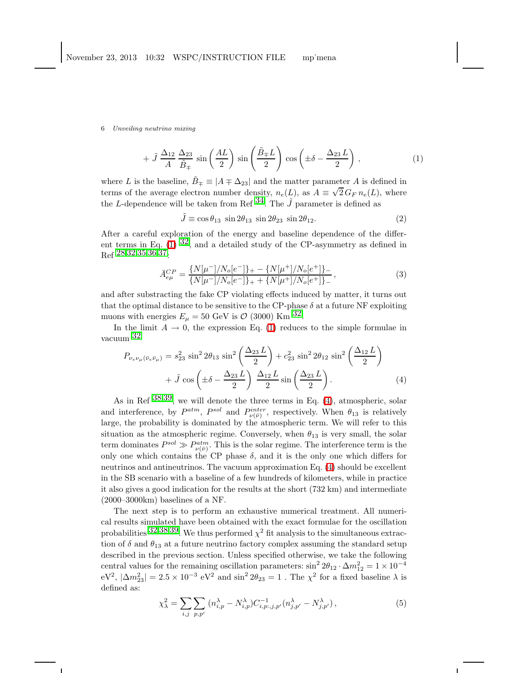$$
+\tilde{J}\frac{\Delta_{12}}{A}\frac{\Delta_{23}}{\tilde{B}_{\mp}}\sin\left(\frac{AL}{2}\right)\sin\left(\frac{\tilde{B}_{\mp}L}{2}\right)\cos\left(\pm\delta-\frac{\Delta_{23}L}{2}\right),\tag{1}
$$

where L is the baseline,  $\tilde{B}_{\mp} \equiv |A \mp \Delta_{23}|$  and the matter parameter A is defined in terms of the average electron number density,  $n_e(L)$ , as  $A \equiv \sqrt{2} G_F n_e(L)$ , where the L-dependence will be taken from Ref  $^{34}$ . The  $\tilde{J}$  parameter is defined as

 $\tilde{J} \equiv \cos \theta_{13} \sin 2\theta_{13} \sin 2\theta_{23} \sin 2\theta_{12}$ . (2)

After a careful exploration of the energy and baseline dependence of the different terms in Eq.  $(1)$  [32,](#page-16-14) and a detailed study of the CP-asymmetry as defined in  $_{Ref}$  [28](#page-16-10),[32](#page-16-14),[35](#page-16-17),[36](#page-16-18),37.

$$
\bar{A}_{e\mu}^{CP} = \frac{\{N[\mu^-]/N_o[e^-]\}_+ - \{N[\mu^+]/N_o[e^+]\}_-}{\{N[\mu^-]/N_o[e^-]\}_+ + \{N[\mu^+]/N_o[e^+]\}_-},\tag{3}
$$

and after substracting the fake CP violating effects induced by matter, it turns out that the optimal distance to be sensitive to the CP-phase  $\delta$  at a future NF exploiting muons with energies  $E_{\mu} = 50 \text{ GeV}$  is  $\mathcal{O}$  (3000) Km  $^{32}$ .

<span id="page-5-0"></span>In the limit  $A \to 0$ , the expression Eq. [\(1\)](#page-4-0) reduces to the simple formulae in vacuum [32](#page-16-14)

$$
P_{\nu_e \nu_\mu (\bar{\nu}_e \bar{\nu}_\mu)} = s_{23}^2 \sin^2 2\theta_{13} \sin^2 \left(\frac{\Delta_{23} L}{2}\right) + c_{23}^2 \sin^2 2\theta_{12} \sin^2 \left(\frac{\Delta_{12} L}{2}\right) + \tilde{J} \cos \left(\pm \delta - \frac{\Delta_{23} L}{2}\right) \frac{\Delta_{12} L}{2} \sin \left(\frac{\Delta_{23} L}{2}\right).
$$
 (4)

As in Ref  $38,39$  $38,39$ , we will denote the three terms in Eq. [\(4\)](#page-5-0), atmospheric, solar and interference, by  $P^{atm}$ ,  $P^{sol}$  and  $P^{inter}_{\nu(\bar{\nu})}$ , respectively. When  $\theta_{13}$  is relatively large, the probability is dominated by the atmospheric term. We will refer to this situation as the atmospheric regime. Conversely, when  $\theta_{13}$  is very small, the solar term dominates  $P^{sol} \gg P_{\nu(\bar{\nu})}^{atm}$ . This is the solar regime. The interference term is the only one which contains the CP phase  $\delta$ , and it is the only one which differs for neutrinos and antineutrinos. The vacuum approximation Eq. [\(4\)](#page-5-0) should be excellent in the SB scenario with a baseline of a few hundreds of kilometers, while in practice it also gives a good indication for the results at the short (732 km) and intermediate  $(2000-3000km)$  baselines of a NF.

The next step is to perform an exhaustive numerical treatment. All numerical results simulated have been obtained with the exact formulae for the oscillation probabilities  $32,38,39$  $32,38,39$  $32,38,39$  $32,38,39$ . We thus performed  $\chi^2$  fit analysis to the simultaneous extraction of  $\delta$  and  $\theta_{13}$  at a future neutrino factory complex assuming the standard setup described in the previous section. Unless specified otherwise, we take the following central values for the remaining oscillation parameters:  $\sin^2 2\theta_{12} \cdot \Delta m_{12}^2 = 1 \times 10^{-4}$  $eV^2$ ,  $|\Delta m^2_{23}| = 2.5 \times 10^{-3} eV^2$  and  $\sin^2 2\theta_{23} = 1$ . The  $\chi^2$  for a fixed baseline  $\lambda$  is defined as:

$$
\chi_{\lambda}^{2} = \sum_{i,j} \sum_{p,p'} (n_{i,p}^{\lambda} - N_{i,p}^{\lambda}) C_{i,p;j,p'}^{-1} (n_{j,p'}^{\lambda} - N_{j,p'}^{\lambda}),
$$
\n(5)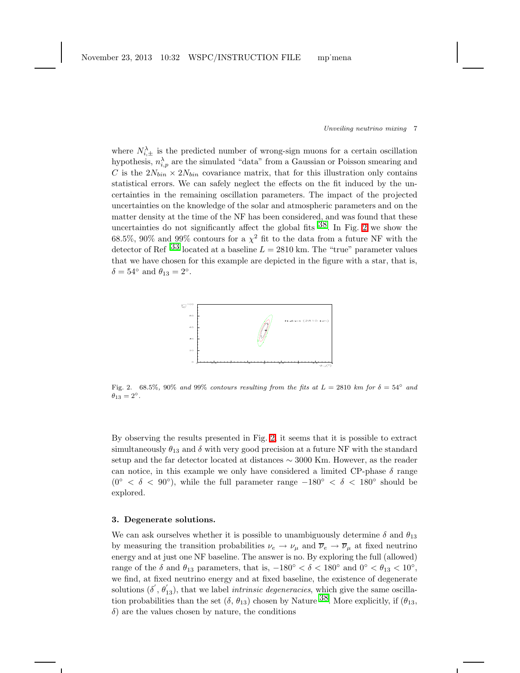where  $N_{i,\pm}^{\lambda}$  is the predicted number of wrong-sign muons for a certain oscillation hypothesis,  $n_{i,p}^{\lambda}$  are the simulated "data" from a Gaussian or Poisson smearing and C is the  $2N_{bin} \times 2N_{bin}$  covariance matrix, that for this illustration only contains statistical errors. We can safely neglect the effects on the fit induced by the uncertainties in the remaining oscillation parameters. The impact of the projected uncertainties on the knowledge of the solar and atmospheric parameters and on the matter density at the time of the NF has been considered, and was found that these uncertainties do not significantly affect the global fits  $38$ . In Fig. [2](#page-6-0) we show the 68.5%, 90% and 99% contours for a  $\chi^2$  fit to the data from a future NF with the detector of Ref  $33$  located at a baseline  $L = 2810$  km. The "true" parameter values that we have chosen for this example are depicted in the figure with a star, that is,  $\delta = 54^{\circ}$  and  $\theta_{13} = 2^{\circ}$ .



<span id="page-6-0"></span>Fig. 2. 68.5%, 90% and 99% contours resulting from the fits at  $L = 2810$  km for  $\delta = 54°$  and  $\ddot{\theta}_{13} = 2^{\circ}.$ 

By observing the results presented in Fig. [2,](#page-6-0) it seems that it is possible to extract simultaneously  $\theta_{13}$  and  $\delta$  with very good precision at a future NF with the standard setup and the far detector located at distances ∼ 3000 Km. However, as the reader can notice, in this example we only have considered a limited CP-phase  $\delta$  range (0<sup>°</sup> <  $\delta$  < 90<sup>°</sup>), while the full parameter range -180<sup>°</sup> <  $\delta$  < 180<sup>°</sup> should be explored.

### 3. Degenerate solutions.

We can ask ourselves whether it is possible to unambiguously determine  $\delta$  and  $\theta_{13}$ by measuring the transition probabilities  $\nu_e \to \nu_\mu$  and  $\overline{\nu}_e \to \overline{\nu}_\mu$  at fixed neutrino energy and at just one NF baseline. The answer is no. By exploring the full (allowed) range of the  $\delta$  and  $\theta_{13}$  parameters, that is,  $-180^{\circ} < \delta < 180^{\circ}$  and  $0^{\circ} < \theta_{13} < 10^{\circ}$ , we find, at fixed neutrino energy and at fixed baseline, the existence of degenerate solutions  $(\delta', \theta'_{13})$ , that we label *intrinsic degeneracies*, which give the same oscillation probabilities than the set  $(\delta, \theta_{13})$  chosen by Nature [38.](#page-16-20) More explicitly, if  $(\theta_{13}, \theta_{13})$  $\delta$ ) are the values chosen by nature, the conditions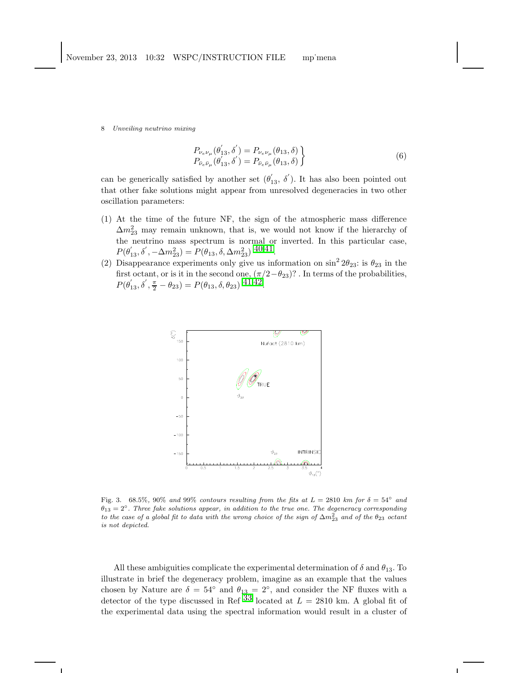$$
\begin{aligned} P_{\nu_e \nu_\mu}(\theta'_{13}, \delta') &= P_{\nu_e \nu_\mu}(\theta_{13}, \delta) \\ P_{\bar{\nu}_e \bar{\nu}_\mu}(\theta'_{13}, \delta') &= P_{\bar{\nu}_e \bar{\nu}_\mu}(\theta_{13}, \delta) \end{aligned} \bigg\} \tag{6}
$$

can be generically satisfied by another set  $(\theta'_{13}, \delta')$ . It has also been pointed out that other fake solutions might appear from unresolved degeneracies in two other oscillation parameters:

- (1) At the time of the future NF, the sign of the atmospheric mass difference  $\Delta m_{23}^2$  may remain unknown, that is, we would not know if the hierarchy of the neutrino mass spectrum is normal or inverted. In this particular case,  $P(\theta'_{13}, \delta', -\Delta m_{23}^2) = P(\theta_{13}, \delta, \Delta m_{23}^2)$  [40](#page-16-22),[41.](#page-16-23)
- (2) Disappearance experiments only give us information on  $\sin^2 2\theta_{23}$ : is  $\theta_{23}$  in the first octant, or is it in the second one,  $(\pi/2-\theta_{23})$ ? . In terms of the probabilities,  $P(\theta_{13}', \delta', \frac{\pi}{2} - \theta_{23}) = P(\theta_{13}, \delta, \theta_{23})$  [41](#page-16-23),[42.](#page-16-24)



<span id="page-7-0"></span>Fig. 3. 68.5%, 90% and 99% contours resulting from the fits at  $L = 2810$  km for  $\delta = 54°$  and  $\theta_{13} = 2^{\circ}$ . Three fake solutions appear, in addition to the true one. The degeneracy corresponding to the case of a global fit to data with the wrong choice of the sign of  $\Delta m^2_{23}$  and of the  $\theta_{23}$  octant is not depicted.

All these ambiguities complicate the experimental determination of  $\delta$  and  $\theta_{13}$ . To illustrate in brief the degeneracy problem, imagine as an example that the values chosen by Nature are  $\delta = 54^{\circ}$  and  $\theta_{13} = 2^{\circ}$ , and consider the NF fluxes with a detector of the type discussed in Ref  $^{33}$  $^{33}$  $^{33}$  located at  $L = 2810$  km. A global fit of the experimental data using the spectral information would result in a cluster of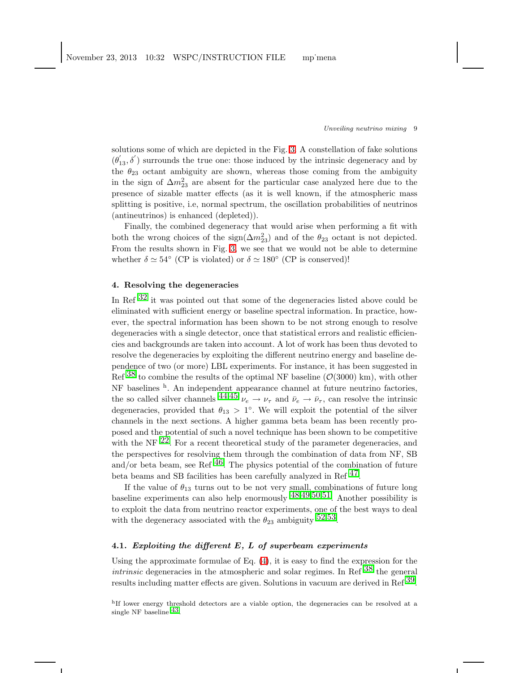solutions some of which are depicted in the Fig. [3.](#page-7-0) A constellation of fake solutions  $(\theta_{13}', \delta')$  surrounds the true one: those induced by the intrinsic degeneracy and by the  $\theta_{23}$  octant ambiguity are shown, whereas those coming from the ambiguity in the sign of  $\Delta m^2_{23}$  are absent for the particular case analyzed here due to the presence of sizable matter effects (as it is well known, if the atmospheric mass splitting is positive, i.e, normal spectrum, the oscillation probabilities of neutrinos (antineutrinos) is enhanced (depleted)).

Finally, the combined degeneracy that would arise when performing a fit with both the wrong choices of the sign( $\Delta m_{23}^2$ ) and of the  $\theta_{23}$  octant is not depicted. From the results shown in Fig. [3,](#page-7-0) we see that we would not be able to determine whether  $\delta \simeq 54^{\circ}$  (CP is violated) or  $\delta \simeq 180^{\circ}$  (CP is conserved)!

## 4. Resolving the degeneracies

In Ref [32](#page-16-14) it was pointed out that some of the degeneracies listed above could be eliminated with sufficient energy or baseline spectral information. In practice, however, the spectral information has been shown to be not strong enough to resolve degeneracies with a single detector, once that statistical errors and realistic efficiencies and backgrounds are taken into account. A lot of work has been thus devoted to resolve the degeneracies by exploiting the different neutrino energy and baseline dependence of two (or more) LBL experiments. For instance, it has been suggested in Ref  $^{38}$  $^{38}$  $^{38}$  to combine the results of the optimal NF baseline ( $\mathcal{O}(3000)$  km), with other NF baselines <sup>h</sup>. An independent appearance channel at future neutrino factories, the so called silver channels  $^{44,45}$  $^{44,45}$  $^{44,45}$  $^{44,45}$  $^{44,45}$   $\nu_e \rightarrow \nu_\tau$  and  $\bar{\nu}_e \rightarrow \bar{\nu}_\tau$ , can resolve the intrinsic degeneracies, provided that  $\theta_{13} > 1^{\circ}$ . We will exploit the potential of the silver channels in the next sections. A higher gamma beta beam has been recently proposed and the potential of such a novel technique has been shown to be competitive with the NF  $^{22}$ . For a recent theoretical study of the parameter degeneracies, and the perspectives for resolving them through the combination of data from NF, SB and/or beta beam, see Ref  $^{46}$ . The physics potential of the combination of future beta beams and SB facilities has been carefully analyzed in Ref  $47$ .

If the value of  $\theta_{13}$  turns out to be not very small, combinations of future long baseline experiments can also help enormously  $48,49,50,51$  $48,49,50,51$  $48,49,50,51$  $48,49,50,51$  $48,49,50,51$  $48,49,50,51$ . Another possibility is to exploit the data from neutrino reactor experiments, one of the best ways to deal with the degeneracy associated with the  $\theta_{23}$  ambiguity <sup>[52](#page-16-33),53</sup>.

## 4.1. Exploiting the different  $E$ ,  $L$  of superbeam experiments

Using the approximate formulae of Eq. [\(4\)](#page-5-0), it is easy to find the expression for the *intrinsic* degeneracies in the atmospheric and solar regimes. In Ref  $38$  the general results including matter effects are given. Solutions in vacuum are derived in Ref  $39$ .

hIf lower energy threshold detectors are a viable option, the degeneracies can be resolved at a single NF baseline  $^{43}$ .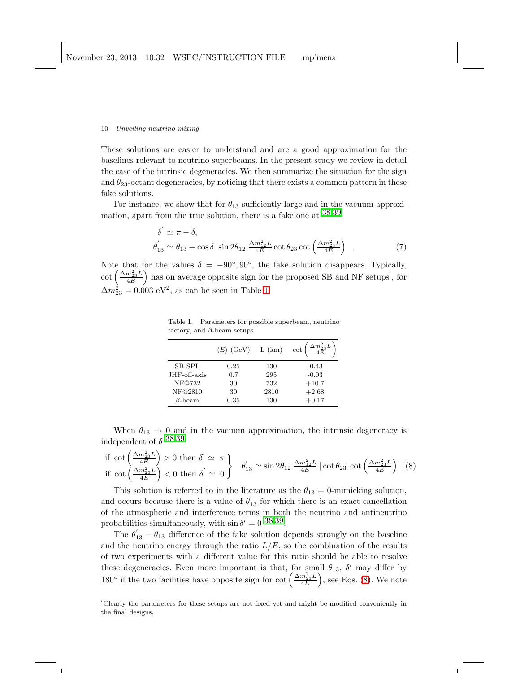These solutions are easier to understand and are a good approximation for the baselines relevant to neutrino superbeams. In the present study we review in detail the case of the intrinsic degeneracies. We then summarize the situation for the sign and  $\theta_{23}$ -octant degeneracies, by noticing that there exists a common pattern in these fake solutions.

For instance, we show that for  $\theta_{13}$  sufficiently large and in the vacuum approximation, apart from the true solution, there is a fake one at  $38,39$  $38,39$  $38,39$ 

$$
\delta' \simeq \pi - \delta,
$$
  
\n
$$
\theta'_{13} \simeq \theta_{13} + \cos \delta \sin 2\theta_{12} \frac{\Delta m_{12}^2 L}{4E} \cot \theta_{23} \cot \left(\frac{\Delta m_{23}^2 L}{4E}\right) .
$$
\n(7)

Note that for the values  $\delta = -90^{\circ}, 90^{\circ}$ , the fake solution disappears. Typically,  $\cot\left(\frac{\Delta m^2_{23}L}{4E}\right)$  $\frac{m_{23}^2 L}{4E}$ ) has on average opposite sign for the proposed SB and NF setups<sup>i</sup>, for  $\Delta m_{23}^2 = 0.003 \text{ eV}^2$ , as can be seen in Table [1.](#page-9-0)

<span id="page-9-0"></span>Table 1. Parameters for possible superbeam, neutrino factory, and  $\beta$ -beam setups.

|               | $\langle E \rangle$ (GeV) | L (km) | $\Delta m^2_{23}L$<br>cot |
|---------------|---------------------------|--------|---------------------------|
| SB-SPL        | 0.25                      | 130    | $-0.43$                   |
| JHF-off-axis  | 0.7                       | 295    | $-0.03$                   |
| NF@732        | 30                        | 732    | $+10.7$                   |
| NF@2810       | 30                        | 2810   | $+2.68$                   |
| $\beta$ -beam | 0.35                      | 130    | $+0.17$                   |

When  $\theta_{13} \rightarrow 0$  and in the vacuum approximation, the intrinsic degeneracy is independent of  $\delta$  [38](#page-16-20),[39:](#page-16-21)

<span id="page-9-1"></span>if 
$$
\cot\left(\frac{\Delta m_{23}^2 L}{4E}\right) > 0
$$
 then  $\delta' \simeq \pi$   
if  $\cot\left(\frac{\Delta m_{23}^2 L}{4E}\right) < 0$  then  $\delta' \simeq 0$   
 $\theta'_{13} \simeq \sin 2\theta_{12} \frac{\Delta m_{12}^2 L}{4E} |\cot \theta_{23} \cot\left(\frac{\Delta m_{23}^2 L}{4E}\right)|.(8)$ 

This solution is referred to in the literature as the  $\theta_{13} = 0$ -mimicking solution, and occurs because there is a value of  $\theta'_{13}$  for which there is an exact cancellation of the atmospheric and interference terms in both the neutrino and antineutrino probabilities simultaneously, with  $\sin \delta' = 0$  [38](#page-16-20),[39.](#page-16-21)

The  $\theta_{13} - \theta_{13}$  difference of the fake solution depends strongly on the baseline and the neutrino energy through the ratio  $L/E$ , so the combination of the results of two experiments with a different value for this ratio should be able to resolve these degeneracies. Even more important is that, for small  $\theta_{13}$ ,  $\delta'$  may differ by 180° if the two facilities have opposite sign for cot  $\left(\frac{\Delta m_{23}^2 L}{4E}\right)$  $\left(\frac{m_{23}^2 L}{4E}\right)$ , see Eqs. [\(8\)](#page-9-1). We note

<sup>i</sup>Clearly the parameters for these setups are not fixed yet and might be modified conveniently in the final designs.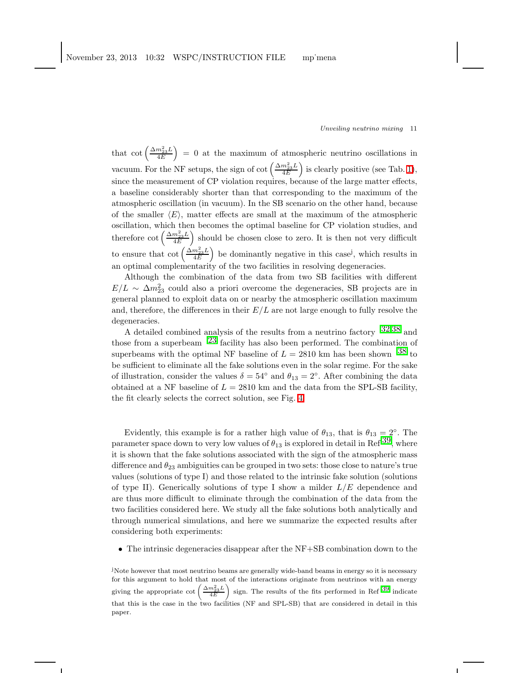that  $\cot\left(\frac{\Delta m^2_{23}L}{4E}\right)$  $\left(\frac{m_{23}^2 L}{4E}\right) = 0$  at the maximum of atmospheric neutrino oscillations in vacuum. For the NF setups, the sign of cot  $\left(\frac{\Delta m_{23}^2 L}{4E}\right)$  $\left(\frac{m_{23}^2 L}{4E}\right)$  is clearly positive (see Tab. [1\)](#page-9-0), since the measurement of CP violation requires, because of the large matter effects, a baseline considerably shorter than that corresponding to the maximum of the atmospheric oscillation (in vacuum). In the SB scenario on the other hand, because of the smaller  $\langle E \rangle$ , matter effects are small at the maximum of the atmospheric oscillation, which then becomes the optimal baseline for CP violation studies, and therefore cot  $\left(\frac{\Delta m^2_{23}L}{4E}\right)$  $\frac{m_{23}^2 L}{4E}$  should be chosen close to zero. It is then not very difficult to ensure that  $\cot \left( \frac{\Delta m^2_{23} L}{4E} \right)$  $\left(\frac{m_{23}^2 L}{4E}\right)$  be dominantly negative in this case<sup>j</sup>, which results in an optimal complementarity of the two facilities in resolving degeneracies.

Although the combination of the data from two SB facilities with different  $E/L \sim \Delta m_{23}^2$  could also a priori overcome the degeneracies, SB projects are in general planned to exploit data on or nearby the atmospheric oscillation maximum and, therefore, the differences in their  $E/L$  are not large enough to fully resolve the degeneracies.

A detailed combined analysis of the results from a neutrino factory  $32,38$  $32,38$  $32,38$  and those from a superbeam  $^{23}$  $^{23}$  $^{23}$  facility has also been performed. The combination of superbeams with the optimal NF baseline of  $L = 2810$  km has been shown  $38$  to be sufficient to eliminate all the fake solutions even in the solar regime. For the sake of illustration, consider the values  $\delta = 54^{\circ}$  and  $\theta_{13} = 2^{\circ}$ . After combining the data obtained at a NF baseline of  $L = 2810$  km and the data from the SPL-SB facility, the fit clearly selects the correct solution, see Fig. [4.](#page-11-0)

Evidently, this example is for a rather high value of  $\theta_{13}$ , that is  $\theta_{13} = 2^\circ$ . The parameter space down to very low values of  $\theta_{13}$  is explored in detail in Ref  $^{39}$ , where it is shown that the fake solutions associated with the sign of the atmospheric mass difference and  $\theta_{23}$  ambiguities can be grouped in two sets: those close to nature's true values (solutions of type I) and those related to the intrinsic fake solution (solutions of type II). Generically solutions of type I show a milder  $L/E$  dependence and are thus more difficult to eliminate through the combination of the data from the two facilities considered here. We study all the fake solutions both analytically and through numerical simulations, and here we summarize the expected results after considering both experiments:

• The intrinsic degeneracies disappear after the NF+SB combination down to the

<sup>j</sup>Note however that most neutrino beams are generally wide-band beams in energy so it is necessary for this argument to hold that most of the interactions originate from neutrinos with an energy giving the appropriate cot  $\left(\frac{\Delta m_{23}^2 L}{4E}\right)$  sign. The results of the fits performed in Ref  $39$  indicate that this is the case in the two facilities (NF and SPL-SB) that are considered in detail in this paper.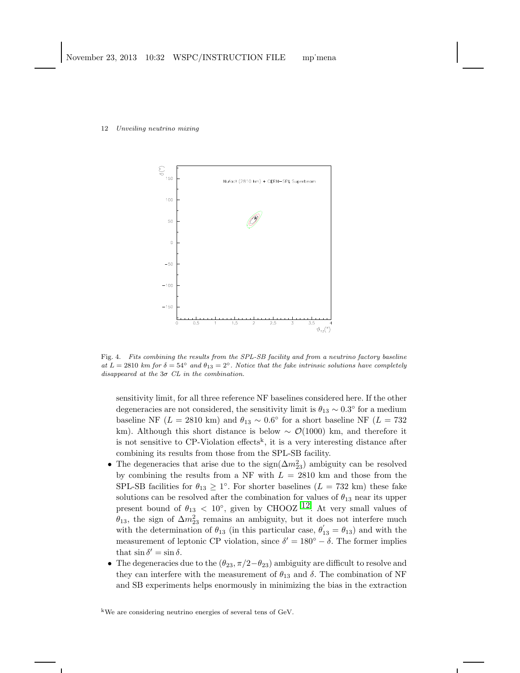

<span id="page-11-0"></span>Fig. 4. Fits combining the results from the SPL-SB facility and from a neutrino factory baseline at  $L = 2810$  km for  $\delta = 54^\circ$  and  $\theta_{13} = 2^\circ$ . Notice that the fake intrinsic solutions have completely disappeared at the  $3\sigma$  CL in the combination.

sensitivity limit, for all three reference NF baselines considered here. If the other degeneracies are not considered, the sensitivity limit is  $\theta_{13} \sim 0.3^{\circ}$  for a medium baseline NF ( $L = 2810 \text{ km}$ ) and  $\theta_{13} \sim 0.6^{\circ}$  for a short baseline NF ( $L = 732$ km). Although this short distance is below  $\sim$  Q(1000) km, and therefore it is not sensitive to CP-Violation effects<sup>k</sup>, it is a very interesting distance after combining its results from those from the SPL-SB facility.

- The degeneracies that arise due to the  $sign(\Delta m_{23}^2)$  ambiguity can be resolved by combining the results from a NF with  $L = 2810$  km and those from the SPL-SB facilities for  $\theta_{13} \geq 1^{\circ}$ . For shorter baselines ( $L = 732$  km) these fake solutions can be resolved after the combination for values of  $\theta_{13}$  near its upper present bound of  $\theta_{13}$  < 10°, given by CHOOZ <sup>12</sup>. At very small values of  $\theta_{13}$ , the sign of  $\Delta m^2_{23}$  remains an ambiguity, but it does not interfere much with the determination of  $\theta_{13}$  (in this particular case,  $\theta'_{13} = \theta_{13}$ ) and with the measurement of leptonic CP violation, since  $\delta' = 180^{\circ} - \delta$ . The former implies that  $\sin \delta' = \sin \delta$ .
- The degeneracies due to the  $(\theta_{23}, \pi/2-\theta_{23})$  ambiguity are difficult to resolve and they can interfere with the measurement of  $\theta_{13}$  and  $\delta$ . The combination of NF and SB experiments helps enormously in minimizing the bias in the extraction

<sup>k</sup>We are considering neutrino energies of several tens of GeV.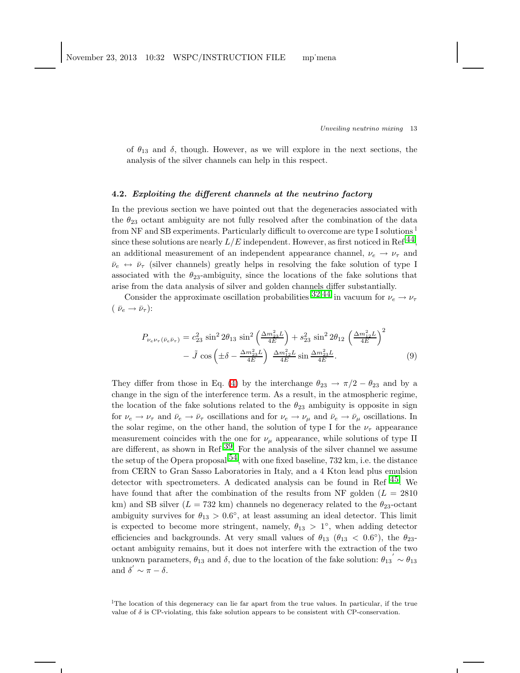of  $\theta_{13}$  and  $\delta$ , though. However, as we will explore in the next sections, the analysis of the silver channels can help in this respect.

### 4.2. Exploiting the different channels at the neutrino factory

In the previous section we have pointed out that the degeneracies associated with the  $\theta_{23}$  octant ambiguity are not fully resolved after the combination of the data from NF and SB experiments. Particularly difficult to overcome are type I solutions <sup>l</sup> since these solutions are nearly  $L/E$  independent. However, as first noticed in Ref<sup>44</sup>. an additional measurement of an independent appearance channel,  $\nu_e \rightarrow \nu_\tau$  and  $\bar{\nu}_e \leftrightarrow \bar{\nu}_\tau$  (silver channels) greatly helps in resolving the fake solution of type I associated with the  $\theta_{23}$ -ambiguity, since the locations of the fake solutions that arise from the data analysis of silver and golden channels differ substantially.

Consider the approximate oscillation probabilities  $32.44$  $32.44$  $32.44$  in vacuum for  $\nu_e \rightarrow \nu_\tau$  $(\bar{\nu}_e \rightarrow \bar{\nu}_\tau)$ :

$$
P_{\nu_e \nu_\tau(\bar{\nu}_e \bar{\nu}_\tau)} = c_{23}^2 \sin^2 2\theta_{13} \sin^2 \left(\frac{\Delta m_{23}^2 L}{4E}\right) + s_{23}^2 \sin^2 2\theta_{12} \left(\frac{\Delta m_{12}^2 L}{4E}\right)^2 - \tilde{J} \cos \left(\pm \delta - \frac{\Delta m_{23}^2 L}{4E}\right) \frac{\Delta m_{12}^2 L}{4E} \sin \frac{\Delta m_{23}^2 L}{4E}.
$$
 (9)

They differ from those in Eq. [\(4\)](#page-5-0) by the interchange  $\theta_{23} \rightarrow \pi/2 - \theta_{23}$  and by a change in the sign of the interference term. As a result, in the atmospheric regime, the location of the fake solutions related to the  $\theta_{23}$  ambiguity is opposite in sign for  $\nu_e \to \nu_\tau$  and  $\bar{\nu}_e \to \bar{\nu}_\tau$  oscillations and for  $\nu_e \to \nu_\mu$  and  $\bar{\nu}_e \to \bar{\nu}_\mu$  oscillations. In the solar regime, on the other hand, the solution of type I for the  $\nu_{\tau}$  appearance measurement coincides with the one for  $\nu_{\mu}$  appearance, while solutions of type II are different, as shown in Ref [39.](#page-16-21) For the analysis of the silver channel we assume the setup of the Opera proposal  $^{54}$ , with one fixed baseline, 732 km, i.e. the distance from CERN to Gran Sasso Laboratories in Italy, and a 4 Kton lead plus emulsion detector with spectrometers. A dedicated analysis can be found in Ref  $^{45}$ . We have found that after the combination of the results from NF golden ( $L = 2810$ ) km) and SB silver ( $L = 732$  km) channels no degeneracy related to the  $\theta_{23}$ -octant ambiguity survives for  $\theta_{13} > 0.6^{\circ}$ , at least assuming an ideal detector. This limit is expected to become more stringent, namely,  $\theta_{13} > 1^{\circ}$ , when adding detector efficiencies and backgrounds. At very small values of  $\theta_{13}$  ( $\theta_{13} < 0.6^{\circ}$ ), the  $\theta_{23}$ octant ambiguity remains, but it does not interfere with the extraction of the two unknown parameters,  $\theta_{13}$  and  $\delta$ , due to the location of the fake solution:  $\theta_{13} \sim \theta_{13}$ and  $\delta' \sim \pi - \delta$ .

<sup>l</sup>The location of this degeneracy can lie far apart from the true values. In particular, if the true value of  $\delta$  is CP-violating, this fake solution appears to be consistent with CP-conservation.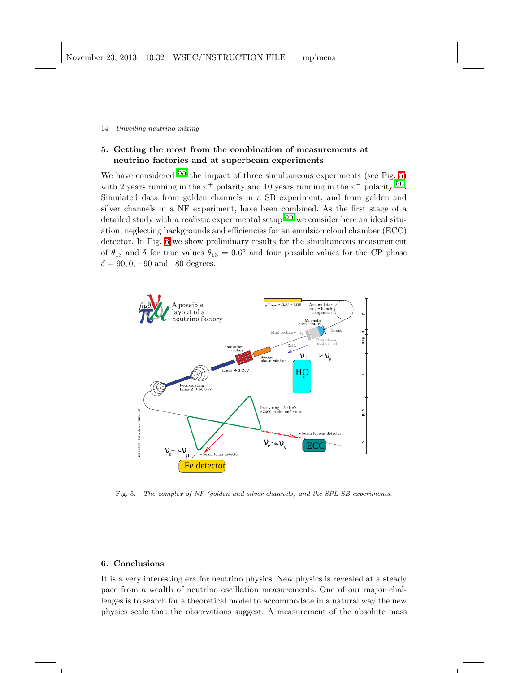# 5. Getting the most from the combination of measurements at neutrino factories and at superbeam experiments

We have considered  $55$  the impact of three simultaneous experiments (see Fig. [5\)](#page-13-0) with 2 years running in the  $\pi^+$  polarity and 10 years running in the  $\pi^-$  polarity  $^{56}$ . Simulated data from golden channels in a SB experiment, and from golden and silver channels in a NF experiment, have been combined. As the first stage of a detailed study with a realistic experimental setup  $^{56}$  $^{56}$  $^{56}$  we consider here an ideal situation, neglecting backgrounds and efficiencies for an emulsion cloud chamber (ECC) detector. In Fig. [6](#page-14-0) we show preliminary results for the simultaneous measurement of  $\theta_{13}$  and  $\delta$  for true values  $\theta_{13} = 0.6^{\circ}$  and four possible values for the CP phase  $\delta = 90, 0, -90$  and 180 degrees.



<span id="page-13-0"></span>Fig. 5. The complex of NF (golden and silver channels) and the SPL-SB experiments.

## 6. Conclusions

It is a very interesting era for neutrino physics. New physics is revealed at a steady pace from a wealth of neutrino oscillation measurements. One of our major challenges is to search for a theoretical model to accommodate in a natural way the new physics scale that the observations suggest. A measurement of the absolute mass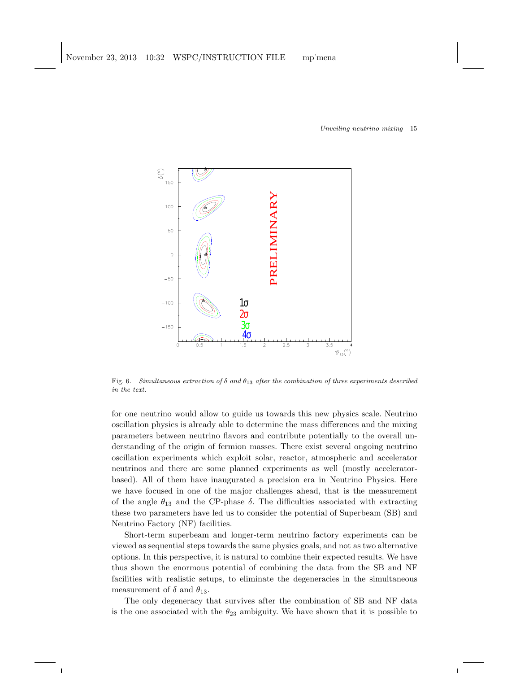

<span id="page-14-0"></span>Fig. 6. Simultaneous extraction of  $\delta$  and  $\theta_{13}$  after the combination of three experiments described in the text.

for one neutrino would allow to guide us towards this new physics scale. Neutrino oscillation physics is already able to determine the mass differences and the mixing parameters between neutrino flavors and contribute potentially to the overall understanding of the origin of fermion masses. There exist several ongoing neutrino oscillation experiments which exploit solar, reactor, atmospheric and accelerator neutrinos and there are some planned experiments as well (mostly acceleratorbased). All of them have inaugurated a precision era in Neutrino Physics. Here we have focused in one of the major challenges ahead, that is the measurement of the angle  $\theta_{13}$  and the CP-phase  $\delta$ . The difficulties associated with extracting these two parameters have led us to consider the potential of Superbeam (SB) and Neutrino Factory (NF) facilities.

Short-term superbeam and longer-term neutrino factory experiments can be viewed as sequential steps towards the same physics goals, and not as two alternative options. In this perspective, it is natural to combine their expected results. We have thus shown the enormous potential of combining the data from the SB and NF facilities with realistic setups, to eliminate the degeneracies in the simultaneous measurement of  $\delta$  and  $\theta_{13}$ .

The only degeneracy that survives after the combination of SB and NF data is the one associated with the  $\theta_{23}$  ambiguity. We have shown that it is possible to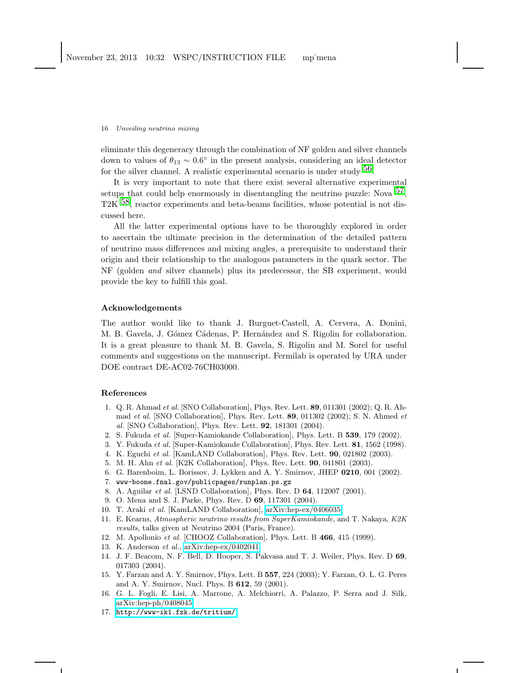eliminate this degeneracy through the combination of NF golden and silver channels down to values of  $\theta_{13} \sim 0.6^{\circ}$  in the present analysis, considering an ideal detector for the silver channel. A realistic experimental scenario is under study  $56$ .

It is very important to note that there exist several alternative experimental setups that could help enormously in disentangling the neutrino puzzle: Nova  $57$ , T2K <sup>58</sup>, reactor experiments and beta-beams facilities, whose potential is not discussed here.

All the latter experimental options have to be thoroughly explored in order to ascertain the ultimate precision in the determination of the detailed pattern of neutrino mass differences and mixing angles, a prerequisite to understand their origin and their relationship to the analogous parameters in the quark sector. The NF (golden and silver channels) plus its predecessor, the SB experiment, would provide the key to fulfill this goal.

## Acknowledgements

The author would like to thank J. Burguet-Castell, A. Cervera, A. Donini, M. B. Gavela, J. Gómez Cádenas, P. Hernández and S. Rigolin for collaboration. It is a great pleasure to thank M. B. Gavela, S. Rigolin and M. Sorel for useful comments and suggestions on the manuscript. Fermilab is operated by URA under DOE contract DE-AC02-76CH03000.

### <span id="page-15-0"></span>References

- 1. Q. R. Ahmad et al. [SNO Collaboration], Phys. Rev. Lett. 89, 011301 (2002); Q. R. Ahmad et al. [SNO Collaboration], Phys. Rev. Lett.  $89, 011302$  (2002); S. N. Ahmed et al. [SNO Collaboration], Phys. Rev. Lett. 92, 181301 (2004).
- <span id="page-15-2"></span><span id="page-15-1"></span>2. S. Fukuda et al. [Super-Kamiokande Collaboration], Phys. Lett. B 539, 179 (2002).
- <span id="page-15-3"></span>3. Y. Fukuda et al. [Super-Kamiokande Collaboration], Phys. Rev. Lett. 81, 1562 (1998).
- 4. K. Eguchi et al. [KamLAND Collaboration], Phys. Rev. Lett. 90, 021802 (2003).
- <span id="page-15-5"></span><span id="page-15-4"></span>5. M. H. Ahn et al. [K2K Collaboration], Phys. Rev. Lett. 90, 041801 (2003).
- <span id="page-15-6"></span>6. G. Barenboim, L. Borissov, J. Lykken and A. Y. Smirnov, JHEP 0210, 001 (2002).
- <span id="page-15-7"></span>7. www-boone.fnal.gov/publicpages/runplan.ps.gz
- 8. A. Aguilar et al. [LSND Collaboration], Phys. Rev. D 64, 112007 (2001).
- 9. O. Mena and S. J. Parke, Phys. Rev. D 69, 117301 (2004).
- <span id="page-15-9"></span><span id="page-15-8"></span>10. T. Araki et al. [KamLAND Collaboration], [arXiv:hep-ex/0406035.](http://arxiv.org/abs/hep-ex/0406035)
- <span id="page-15-10"></span>11. E. Kearns, Atmospheric neutrino results from SuperKamiokande, and T. Nakaya, K2K results, talks given at Neutrino 2004 (Paris, France).
- <span id="page-15-12"></span><span id="page-15-11"></span>12. M. Apollonio et al. [CHOOZ Collaboration], Phys. Lett. B 466, 415 (1999).
- <span id="page-15-13"></span>13. K. Anderson et al., [arXiv:hep-ex/0402041.](http://arxiv.org/abs/hep-ex/0402041)
- 14. J. F. Beacom, N. F. Bell, D. Hooper, S. Pakvasa and T. J. Weiler, Phys. Rev. D 69, 017303 (2004).
- <span id="page-15-14"></span>15. Y. Farzan and A. Y. Smirnov, Phys. Lett. B 557, 224 (2003); Y. Farzan, O. L. G. Peres and A. Y. Smirnov, Nucl. Phys. B 612, 59 (2001).
- <span id="page-15-15"></span>16. G. L. Fogli, E. Lisi, A. Marrone, A. Melchiorri, A. Palazzo, P. Serra and J. Silk, [arXiv:hep-ph/0408045.](http://arxiv.org/abs/hep-ph/0408045)
- <span id="page-15-16"></span>17. <http://www-ik1.fzk.de/tritium/>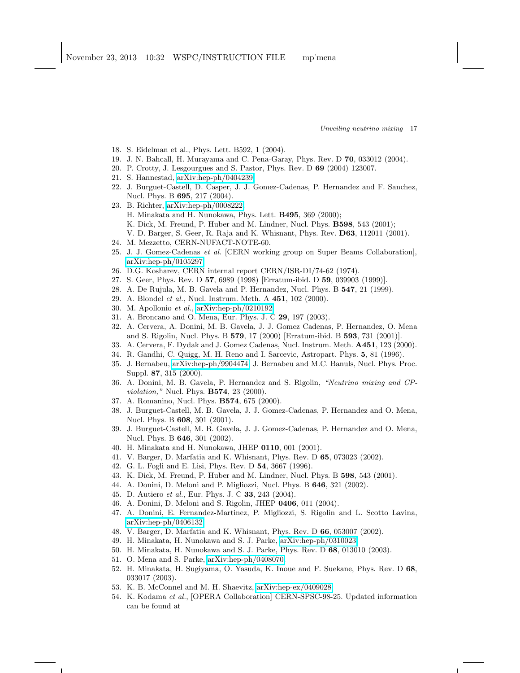- <span id="page-16-1"></span><span id="page-16-0"></span>18. S. Eidelman et al., Phys. Lett. B592, 1 (2004).
- <span id="page-16-2"></span>19. J. N. Bahcall, H. Murayama and C. Pena-Garay, Phys. Rev. D 70, 033012 (2004).
- <span id="page-16-3"></span>20. P. Crotty, J. Lesgourgues and S. Pastor, Phys. Rev. D 69 (2004) 123007.
- <span id="page-16-7"></span>21. S. Hannestad, [arXiv:hep-ph/0404239.](http://arxiv.org/abs/hep-ph/0404239)
- 22. J. Burguet-Castell, D. Casper, J. J. Gomez-Cadenas, P. Hernandez and F. Sanchez, Nucl. Phys. B 695, 217 (2004).
- <span id="page-16-4"></span>23. B. Richter, [arXiv:hep-ph/0008222;](http://arxiv.org/abs/hep-ph/0008222) H. Minakata and H. Nunokawa, Phys. Lett. B495, 369 (2000); K. Dick, M. Freund, P. Huber and M. Lindner, Nucl. Phys. B598, 543 (2001); V. D. Barger, S. Geer, R. Raja and K. Whisnant, Phys. Rev. D63, 112011 (2001).
- <span id="page-16-6"></span><span id="page-16-5"></span>24. M. Mezzetto, CERN-NUFACT-NOTE-60.
- 25. J. J. Gomez-Cadenas et al. [CERN working group on Super Beams Collaboration], [arXiv:hep-ph/0105297.](http://arxiv.org/abs/hep-ph/0105297)
- <span id="page-16-9"></span><span id="page-16-8"></span>26. D.G. Kosharev, CERN internal report CERN/ISR-DI/74-62 (1974).
- <span id="page-16-10"></span>27. S. Geer, Phys. Rev. D 57, 6989 (1998) [Erratum-ibid. D 59, 039903 (1999)].
- <span id="page-16-11"></span>28. A. De Rujula, M. B. Gavela and P. Hernandez, Nucl. Phys. B 547, 21 (1999).
- 29. A. Blondel et al., Nucl. Instrum. Meth. A 451, 102 (2000).
- <span id="page-16-13"></span><span id="page-16-12"></span>30. M. Apollonio et al., [arXiv:hep-ph/0210192.](http://arxiv.org/abs/hep-ph/0210192)
- <span id="page-16-14"></span>31. A. Broncano and O. Mena, Eur. Phys. J. C 29, 197 (2003).
- 32. A. Cervera, A. Donini, M. B. Gavela, J. J. Gomez Cadenas, P. Hernandez, O. Mena and S. Rigolin, Nucl. Phys. B 579, 17 (2000) [Erratum-ibid. B 593, 731 (2001)].
- <span id="page-16-16"></span><span id="page-16-15"></span>33. A. Cervera, F. Dydak and J. Gomez Cadenas, Nucl. Instrum. Meth. A451, 123 (2000).
- <span id="page-16-17"></span>34. R. Gandhi, C. Quigg, M. H. Reno and I. Sarcevic, Astropart. Phys. 5, 81 (1996).
- 35. J. Bernabeu, [arXiv:hep-ph/9904474;](http://arxiv.org/abs/hep-ph/9904474) J. Bernabeu and M.C. Banuls, Nucl. Phys. Proc. Suppl. 87, 315 (2000).
- <span id="page-16-18"></span>36. A. Donini, M. B. Gavela, P. Hernandez and S. Rigolin, "Neutrino mixing and CP*violation*," Nucl. Phys. **B574**, 23 (2000).
- <span id="page-16-20"></span><span id="page-16-19"></span>37. A. Romanino, Nucl. Phys. B574, 675 (2000).
- 38. J. Burguet-Castell, M. B. Gavela, J. J. Gomez-Cadenas, P. Hernandez and O. Mena, Nucl. Phys. B 608, 301 (2001).
- <span id="page-16-22"></span><span id="page-16-21"></span>39. J. Burguet-Castell, M. B. Gavela, J. J. Gomez-Cadenas, P. Hernandez and O. Mena, Nucl. Phys. B 646, 301 (2002).
- <span id="page-16-23"></span>40. H. Minakata and H. Nunokawa, JHEP 0110, 001 (2001).
- 41. V. Barger, D. Marfatia and K. Whisnant, Phys. Rev. D 65, 073023 (2002).
- <span id="page-16-35"></span><span id="page-16-24"></span>42. G. L. Fogli and E. Lisi, Phys. Rev. D 54, 3667 (1996).
- <span id="page-16-25"></span>43. K. Dick, M. Freund, P. Huber and M. Lindner, Nucl. Phys. B 598, 543 (2001).
- <span id="page-16-26"></span>44. A. Donini, D. Meloni and P. Migliozzi, Nucl. Phys. B 646, 321 (2002).
- <span id="page-16-27"></span>45. D. Autiero et al., Eur. Phys. J. C 33, 243 (2004).
- <span id="page-16-28"></span>46. A. Donini, D. Meloni and S. Rigolin, JHEP 0406, 011 (2004).
- 47. A. Donini, E. Fernandez-Martinez, P. Migliozzi, S. Rigolin and L. Scotto Lavina, [arXiv:hep-ph/0406132.](http://arxiv.org/abs/hep-ph/0406132)
- <span id="page-16-30"></span><span id="page-16-29"></span>48. V. Barger, D. Marfatia and K. Whisnant, Phys. Rev. D 66, 053007 (2002).
- <span id="page-16-31"></span>49. H. Minakata, H. Nunokawa and S. J. Parke, [arXiv:hep-ph/0310023.](http://arxiv.org/abs/hep-ph/0310023)
- 50. H. Minakata, H. Nunokawa and S. J. Parke, Phys. Rev. D 68, 013010 (2003).
- <span id="page-16-33"></span><span id="page-16-32"></span>51. O. Mena and S. Parke, [arXiv:hep-ph/0408070.](http://arxiv.org/abs/hep-ph/0408070)
- 52. H. Minakata, H. Sugiyama, O. Yasuda, K. Inoue and F. Suekane, Phys. Rev. D 68, 033017 (2003).
- <span id="page-16-36"></span><span id="page-16-34"></span>53. K. B. McConnel and M. H. Shaevitz, [arXiv:hep-ex/0409028.](http://arxiv.org/abs/hep-ex/0409028)
- 54. K. Kodama et al., [OPERA Collaboration] CERN-SPSC-98-25. Updated information can be found at